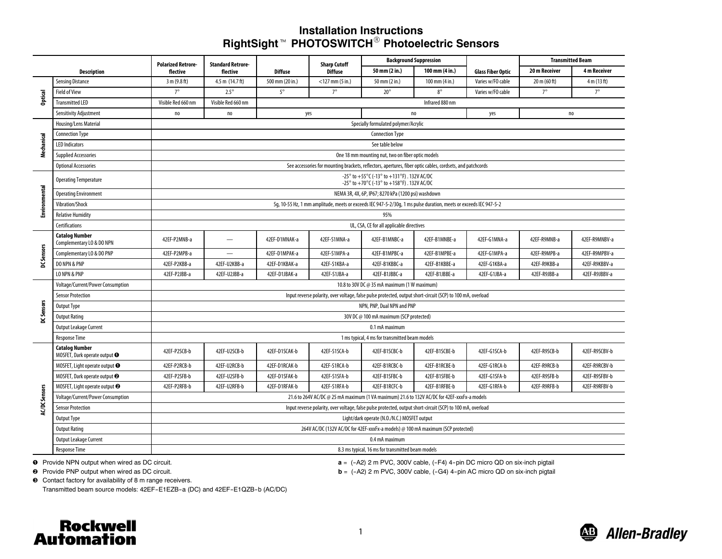# **Installation InstructionsRightSight**<sup>t</sup> **PHOTOSWITCH**<sup>R</sup> **Photoelectric Sensors**

| <b>Description</b>  |                                                                   | <b>Polarized Retrore-</b><br>flective                                                                             | <b>Standard Retrore-</b><br>flective | <b>Diffuse</b>  | <b>Sharp Cutoff</b><br><b>Diffuse</b> | <b>Background Suppression</b> |                                  |                          | <b>Transmitted Beam</b> |               |  |  |
|---------------------|-------------------------------------------------------------------|-------------------------------------------------------------------------------------------------------------------|--------------------------------------|-----------------|---------------------------------------|-------------------------------|----------------------------------|--------------------------|-------------------------|---------------|--|--|
|                     |                                                                   |                                                                                                                   |                                      |                 |                                       | 50 mm (2 in.)                 | 100 mm (4 in.)                   | <b>Glass Fiber Optic</b> | 20 m Receiver           | 4 m Receiver  |  |  |
|                     | <b>Sensing Distance</b>                                           | 3 m (9.8 ft)                                                                                                      | 4.5 m (14.7 ft)                      | 500 mm (20 in.) | $<$ 127 mm $(5$ in.)                  | 50 mm (2 in.)                 | $100 \text{ mm} (4 \text{ in.})$ | Varies w/FO cable        | 20 m (60 ft)            | 4 m (13 ft)   |  |  |
| Optical             | <b>Field of View</b>                                              | $7^\circ$                                                                                                         | $2.5^\circ$                          | $5^\circ$       | $7^\circ$                             | $20^{\circ}$                  | $8^\circ$                        | Varies w/FO cable        | $7^\circ$               | $7^\circ$     |  |  |
|                     | <b>Transmitted LED</b>                                            | Visible Red 660 nm                                                                                                | Visible Red 660 nm                   |                 |                                       | Infrared 880 nm               |                                  |                          |                         |               |  |  |
|                     | Sensitivity Adjustment                                            | no                                                                                                                | no                                   | yes             |                                       | no                            |                                  | yes                      | no                      |               |  |  |
| Mechanical          | Housing/Lens Material                                             | Specially formulated polymer/Acrylic                                                                              |                                      |                 |                                       |                               |                                  |                          |                         |               |  |  |
|                     | <b>Connection Type</b>                                            | <b>Connection Type</b>                                                                                            |                                      |                 |                                       |                               |                                  |                          |                         |               |  |  |
|                     | <b>LED Indicators</b>                                             | See table below                                                                                                   |                                      |                 |                                       |                               |                                  |                          |                         |               |  |  |
|                     | <b>Supplied Accessories</b>                                       | One 18 mm mounting nut, two on fiber optic models                                                                 |                                      |                 |                                       |                               |                                  |                          |                         |               |  |  |
|                     | <b>Optional Accessories</b>                                       | See accessories for mounting brackets, reflectors, apertures, fiber optic cables, cordsets, and patchcords        |                                      |                 |                                       |                               |                                  |                          |                         |               |  |  |
| Environmental       | <b>Operating Temperature</b>                                      | -25° to +55°C (-13° to +131°F). 132V AC/DC<br>-25° to +70°C (-13° to +158°F). 132V AC/DC                          |                                      |                 |                                       |                               |                                  |                          |                         |               |  |  |
|                     | <b>Operating Environment</b>                                      | NEMA 3R, 4X, 6P, IP67; 8270 kPa (1200 psi) washdown                                                               |                                      |                 |                                       |                               |                                  |                          |                         |               |  |  |
|                     | Vibration/Shock                                                   | 5q, 10-55 Hz, 1 mm amplitude, meets or exceeds IEC 947-5-2/30q, 1 ms pulse duration, meets or exceeds IEC 947-5-2 |                                      |                 |                                       |                               |                                  |                          |                         |               |  |  |
|                     | <b>Relative Humidity</b>                                          |                                                                                                                   |                                      |                 |                                       | 95%                           |                                  |                          |                         |               |  |  |
|                     | <b>Certifications</b>                                             | UL, CSA, CE for all applicable directives                                                                         |                                      |                 |                                       |                               |                                  |                          |                         |               |  |  |
| <b>DCSensors</b>    | <b>Catalog Number</b><br>Complementary LO & DO NPN                | 42EF-P2MNB-a                                                                                                      | $\overline{\phantom{m}}$             | 42EF-D1MNAK-a   | 42EF-S1MNA-a                          | 42EF-B1MNBC-a                 | 42EF-B1MNBE-a                    | 42EF-G1MNA-a             | 42EF-R9MNB-a            | 42EF-R9MNBV-a |  |  |
|                     | Complementary LO & DO PNP                                         | 42EF-P2MPB-a                                                                                                      |                                      | 42EF-D1MPAK-a   | 42EF-S1MPA-a                          | 42EF-B1MPBC-a                 | 42EF-B1MPBE-a                    | 42EF-G1MPA-a             | 42EF-R9MPB-a            | 42EF-R9MPBV-a |  |  |
|                     | DO NPN & PNP                                                      | 42EF-P2KBB-a                                                                                                      | 42EF-U2KBB-a                         | 42EF-D1KBAK-a   | 42EF-S1KBA-a                          | 42EF-B1KBBC-a                 | 42EF-B1KBBE-a                    | 42EF-G1KBA-a             | 42EF-R9KBB-a            | 42EF-R9KBBV-a |  |  |
|                     | LO NPN & PNP                                                      | 42EF-P2JBB-a                                                                                                      | 42EF-U2JBB-a                         | 42EF-D1JBAK-a   | 42EF-S1JBA-a                          | 42EF-B1JBBC-a                 | 42EF-B1JBBE-a                    | 42EF-G1JBA-a             | 42EF-R9JBB-a            | 42EF-R9JBBV-a |  |  |
| DC Sensors          | Voltage/Current/Power Consumption                                 | 10.8 to 30V DC @ 35 mA maximum (1 W maximum)                                                                      |                                      |                 |                                       |                               |                                  |                          |                         |               |  |  |
|                     | <b>Sensor Protection</b>                                          | Input reverse polarity, over voltage, false pulse protected, output short-circuit (SCP) to 100 mA, overload       |                                      |                 |                                       |                               |                                  |                          |                         |               |  |  |
|                     | Output Type                                                       | NPN, PNP, Dual NPN and PNP                                                                                        |                                      |                 |                                       |                               |                                  |                          |                         |               |  |  |
|                     | <b>Output Rating</b>                                              | 30V DC @ 100 mA maximum (SCP protected)                                                                           |                                      |                 |                                       |                               |                                  |                          |                         |               |  |  |
|                     | Output Leakage Current                                            | 0.1 mA maximum                                                                                                    |                                      |                 |                                       |                               |                                  |                          |                         |               |  |  |
|                     | <b>Response Time</b>                                              | 1 ms typical, 4 ms for transmitted beam models                                                                    |                                      |                 |                                       |                               |                                  |                          |                         |               |  |  |
| <b>ACDC</b> Sensors | <b>Catalog Number</b><br>MOSFET, Dark operate output <sup>O</sup> | 42EF-P2SCB-b                                                                                                      | 42EF-U2SCB-b                         | 42EF-D1SCAK-b   | 42EF-S1SCA-b                          | 42EF-B1SCBC-b                 | 42EF-B1SCBE-b                    | 42EF-G1SCA-b             | 42EF-R9SCB-b            | 42EF-R9SCBV-b |  |  |
|                     | MOSFET, Light operate output <sup>O</sup>                         | 42EF-P2RCB-b                                                                                                      | 42EF-U2RCB-b                         | 42EF-D1RCAK-b   | 42EF-S1RCA-b                          | 42EF-B1RCBC-b                 | 42EF-B1RCBE-b                    | 42EF-G1RCA-b             | 42EF-R9RCB-b            | 42EF-R9RCBV-b |  |  |
|                     | MOSFET, Dark operate output <sup>2</sup>                          | 42EF-P2SFB-b                                                                                                      | 42EF-U2SFB-b                         | 42EF-D1SFAK-b   | 42EF-S1SFA-b                          | 42EF-B1SFBC-b                 | 42EF-B1SFBE-b                    | 42EF-G1SFA-b             | 42EF-R9SFB-b            | 42EF-R9SFBV-b |  |  |
|                     | MOSFET, Light operate output <sup>2</sup>                         | 42EF-P2RFB-b                                                                                                      | 42EF-U2RFB-b                         | 42EF-D1RFAK-b   | 42EF-S1RFA-b                          | 42EF-B1RCFC-b                 | 42EF-B1RFBE-b                    | 42EF-G1RFA-b             | 42EF-R9RFB-b            | 42EF-R9RFBV-b |  |  |
|                     | Voltage/Current/Power Consumption                                 | 21.6 to 264V AC/DC @ 25 mA maximum (1 VA maximum) 21.6 to 132V AC/DC for 42EF-xxxFx-a models                      |                                      |                 |                                       |                               |                                  |                          |                         |               |  |  |
|                     | <b>Sensor Protection</b>                                          | Input reverse polarity, over voltage, false pulse protected, output short-circuit (SCP) to 100 mA, overload       |                                      |                 |                                       |                               |                                  |                          |                         |               |  |  |
|                     | Output Type                                                       | Light/dark operate (N.O./N.C.) MOSFET output                                                                      |                                      |                 |                                       |                               |                                  |                          |                         |               |  |  |
|                     | <b>Output Rating</b>                                              | 264V AC/DC (132V AC/DC for 42EF-xxxFx-a models) @ 100 mA maximum (SCP protected)                                  |                                      |                 |                                       |                               |                                  |                          |                         |               |  |  |
|                     | Output Leakage Current                                            | 0.4 mA maximum                                                                                                    |                                      |                 |                                       |                               |                                  |                          |                         |               |  |  |
|                     | <b>Response Time</b>                                              | 8.3 ms typical, 16 ms for transmitted beam models                                                                 |                                      |                 |                                       |                               |                                  |                          |                         |               |  |  |

**O** Provide NPN output when wired as DC circuit.

<sup>9</sup> Provide PNP output when wired as DC circuit.

a = (-A2) 2 m PVC, 300V cable, (-F4) 4-pin DC micro QD on six-inch pigtail

**b** = (-A2) 2 m PVC, 300V cable, (-G4) 4-pin AC micro QD on six-inch pigtail

Contact factory for availability of 8 <sup>m</sup> range receivers.

Transmitted beam source models: 42EF-E1EZB-a (DC) and 42EF-E1QZB-b (AC/DC)



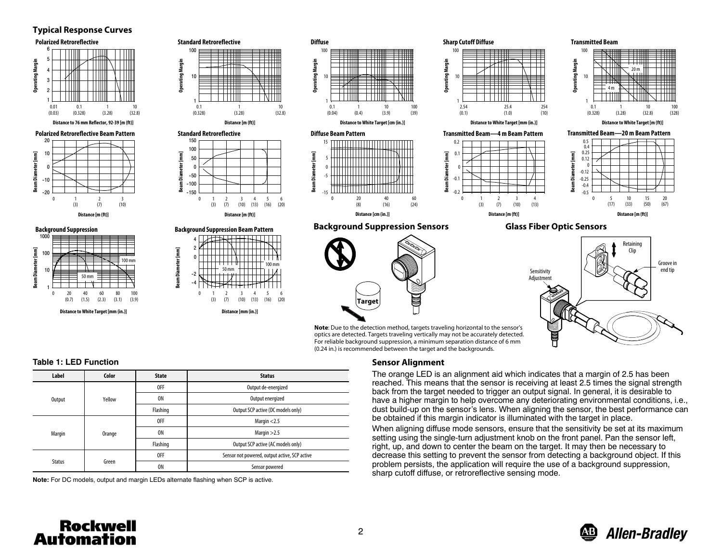### **Typical Response Curves**



#### **Table 1: LED Function**

| Label         | Color  | <b>State</b> | <b>Status</b>                                 |
|---------------|--------|--------------|-----------------------------------------------|
|               | Yellow | <b>OFF</b>   | Output de-energized                           |
| Output        |        | <b>ON</b>    | Output energized                              |
|               |        | Flashing     | Output SCP active (DC models only)            |
|               | Orange | <b>OFF</b>   | Margin $<$ 2.5                                |
| Margin        |        | <b>ON</b>    | Margin $>2.5$                                 |
|               |        | Flashing     | Output SCP active (AC models only)            |
|               | Green  | <b>OFF</b>   | Sensor not powered, output active, SCP active |
| <b>Status</b> |        | 0N           | Sensor powered                                |

**Note:** For DC models, output and margin LEDs alternate flashing when SCP is active.

## (0.24 in.) is recommended between the target and the backgrounds. **Sensor Alignment**

The orange LED is an alignment aid which indicates that <sup>a</sup> margin of 2.5 has been reached. This means that the sensor is receiving at least 2.5 times the signal strength back from the target needed to trigger an output signal. In general, it is desirable to have <sup>a</sup> higher margin to help overcome any deteriorating environmental conditions, i.e., dust build-up on the sensor's lens. When aligning the sensor, the best performance can be obtained if this margin indicator is illuminated with the target in place.

When aligning diffuse mode sensors, ensure that the sensitivity be set at its maximum setting using the single-turn adjustment knob on the front panel. Pan the sensor left, right, up, and down to center the beam on the target. It may then be necessary to decrease this setting to prevent the sensor from detecting <sup>a</sup> background object. If this problem persists, the application will require the use of <sup>a</sup> background suppression, sharp cutoff diffuse, or retroreflective sensing mode.



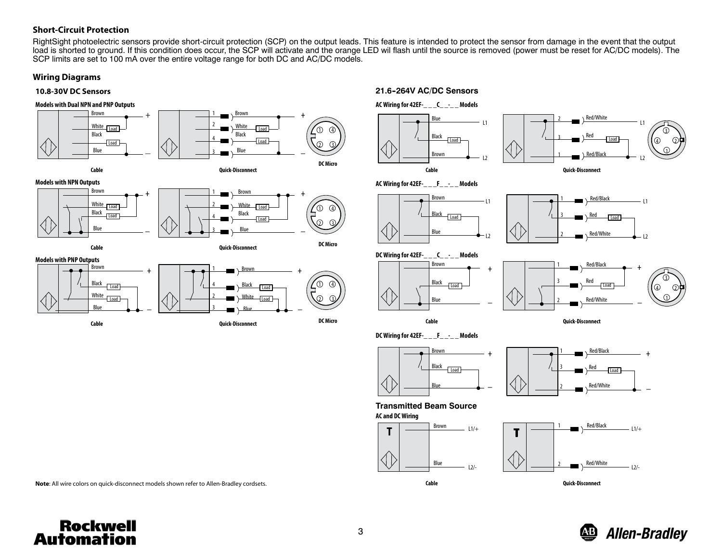## **Short‐Circuit Protection**

RightSight photoelectric sensors provide short-circuit protection (SCP) on the output leads. This feature is intended to protect the sensor from damage in the event that the output load is shorted to ground. If this condition does occur, the SCP will activate and the orange LED wil flash until the source is removed (power must be reset for AC/DC models). The SCP limits are set to 100 mA over the entire voltage range for both DC and AC/DC models.

## **Wiring Diagrams**

### **10.8-30V DC Sensors**



#### **Models with NPN Outputs**





#### **Models with PNP Outputs**





**AC Wiring for 42EF-\_ \_ \_C\_ \_-\_ \_ Models 21.6--264V AC/DC Sensors**











**DC Wiring for 42EF-\_ \_ \_C\_ \_-\_ \_ Models**



**Cable**

**DC Wiring for 42EF-\_ \_ \_F\_ \_-\_ \_ Models**

+BlueBlackBrownLoad



**Quick‐Disconnect**

Red/White

+

–

RedRed/Black

2

3

**Transmitted Beam Source**





 $\frac{n}{\sqrt{1-\frac{1}{2}}}$   $\frac{1}{\sqrt{1-\frac{1}{2}}}$   $\frac{1}{\sqrt{1-\frac{1}{2}}}$ Red/Black  $L1/+$  $\langle$ | | Red/White  $L2/-$ **Quick‐Disconnect**

**Note**: All wire colors on quick‐disconnect models shown refer to Allen‐Bradley cordsets.